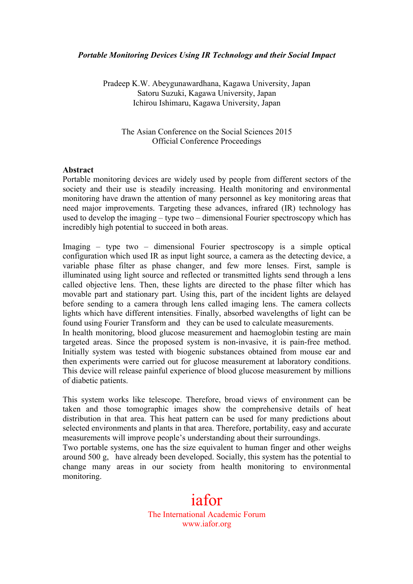#### *Portable Monitoring Devices Using IR Technology and their Social Impact*

Pradeep K.W. Abeygunawardhana, Kagawa University, Japan Satoru Suzuki, Kagawa University, Japan Ichirou Ishimaru, Kagawa University, Japan

The Asian Conference on the Social Sciences 2015 Official Conference Proceedings

#### **Abstract**

Portable monitoring devices are widely used by people from different sectors of the society and their use is steadily increasing. Health monitoring and environmental monitoring have drawn the attention of many personnel as key monitoring areas that need major improvements. Targeting these advances, infrared (IR) technology has used to develop the imaging – type two – dimensional Fourier spectroscopy which has incredibly high potential to succeed in both areas.

Imaging – type two – dimensional Fourier spectroscopy is a simple optical configuration which used IR as input light source, a camera as the detecting device, a variable phase filter as phase changer, and few more lenses. First, sample is illuminated using light source and reflected or transmitted lights send through a lens called objective lens. Then, these lights are directed to the phase filter which has movable part and stationary part. Using this, part of the incident lights are delayed before sending to a camera through lens called imaging lens. The camera collects lights which have different intensities. Finally, absorbed wavelengths of light can be found using Fourier Transform and they can be used to calculate measurements. In health monitoring, blood glucose measurement and haemoglobin testing are main targeted areas. Since the proposed system is non-invasive, it is pain-free method. Initially system was tested with biogenic substances obtained from mouse ear and

then experiments were carried out for glucose measurement at laboratory conditions. This device will release painful experience of blood glucose measurement by millions of diabetic patients.

This system works like telescope. Therefore, broad views of environment can be taken and those tomographic images show the comprehensive details of heat distribution in that area. This heat pattern can be used for many predictions about selected environments and plants in that area. Therefore, portability, easy and accurate measurements will improve people's understanding about their surroundings.

Two portable systems, one has the size equivalent to human finger and other weighs around 500 g, have already been developed. Socially, this system has the potential to change many areas in our society from health monitoring to environmental monitoring.

> iafor The International Academic Forum www.iafor.org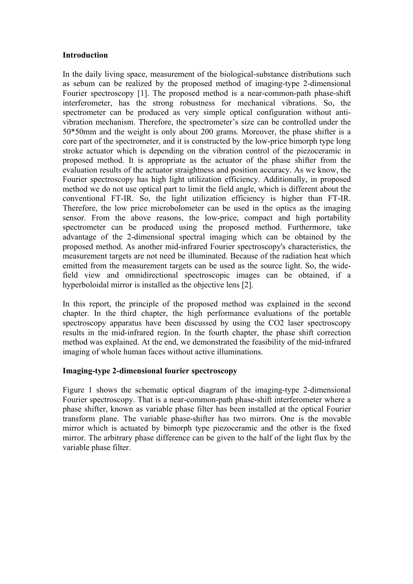#### **Introduction**

In the daily living space, measurement of the biological-substance distributions such as sebum can be realized by the proposed method of imaging-type 2-dimensional Fourier spectroscopy [1]. The proposed method is a near-common-path phase-shift interferometer, has the strong robustness for mechanical vibrations. So, the spectrometer can be produced as very simple optical configuration without antivibration mechanism. Therefore, the spectrometer's size can be controlled under the 50\*50mm and the weight is only about 200 grams. Moreover, the phase shifter is a core part of the spectrometer, and it is constructed by the low-price bimorph type long stroke actuator which is depending on the vibration control of the piezoceramic in proposed method. It is appropriate as the actuator of the phase shifter from the evaluation results of the actuator straightness and position accuracy. As we know, the Fourier spectroscopy has high light utilization efficiency. Additionally, in proposed method we do not use optical part to limit the field angle, which is different about the conventional FT-IR. So, the light utilization efficiency is higher than FT-IR. Therefore, the low price microbolometer can be used in the optics as the imaging sensor. From the above reasons, the low-price, compact and high portability spectrometer can be produced using the proposed method. Furthermore, take advantage of the 2-dimensional spectral imaging which can be obtained by the proposed method. As another mid-infrared Fourier spectroscopy's characteristics, the measurement targets are not need be illuminated. Because of the radiation heat which emitted from the measurement targets can be used as the source light. So, the widefield view and omnidirectional spectroscopic images can be obtained, if a hyperboloidal mirror is installed as the objective lens [2].

In this report, the principle of the proposed method was explained in the second chapter. In the third chapter, the high performance evaluations of the portable spectroscopy apparatus have been discussed by using the CO2 laser spectroscopy results in the mid-infrared region. In the fourth chapter, the phase shift correction method was explained. At the end, we demonstrated the feasibility of the mid-infrared imaging of whole human faces without active illuminations.

# **Imaging-type 2-dimensional fourier spectroscopy**

Figure 1 shows the schematic optical diagram of the imaging-type 2-dimensional Fourier spectroscopy. That is a near-common-path phase-shift interferometer where a phase shifter, known as variable phase filter has been installed at the optical Fourier transform plane. The variable phase-shifter has two mirrors. One is the movable mirror which is actuated by bimorph type piezoceramic and the other is the fixed mirror. The arbitrary phase difference can be given to the half of the light flux by the variable phase filter.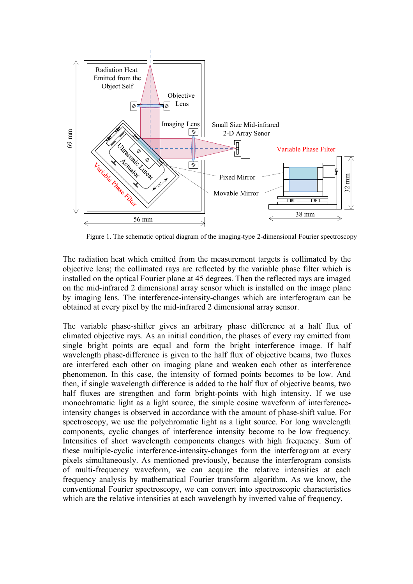

Figure 1. The schematic optical diagram of the imaging-type 2-dimensional Fourier spectroscopy

The radiation heat which emitted from the measurement targets is collimated by the objective lens; the collimated rays are reflected by the variable phase filter which is installed on the optical Fourier plane at 45 degrees. Then the reflected rays are imaged on the mid-infrared 2 dimensional array sensor which is installed on the image plane by imaging lens. The interference-intensity-changes which are interferogram can be obtained at every pixel by the mid-infrared 2 dimensional array sensor.

The variable phase-shifter gives an arbitrary phase difference at a half flux of climated objective rays. As an initial condition, the phases of every ray emitted from single bright points are equal and form the bright interference image. If half wavelength phase-difference is given to the half flux of objective beams, two fluxes are interfered each other on imaging plane and weaken each other as interference phenomenon. In this case, the intensity of formed points becomes to be low. And then, if single wavelength difference is added to the half flux of objective beams, two half fluxes are strengthen and form bright-points with high intensity. If we use monochromatic light as a light source, the simple cosine waveform of interferenceintensity changes is observed in accordance with the amount of phase-shift value. For spectroscopy, we use the polychromatic light as a light source. For long wavelength components, cyclic changes of interference intensity become to be low frequency. Intensities of short wavelength components changes with high frequency. Sum of these multiple-cyclic interference-intensity-changes form the interferogram at every pixels simultaneously. As mentioned previously, because the interferogram consists of multi-frequency waveform, we can acquire the relative intensities at each frequency analysis by mathematical Fourier transform algorithm. As we know, the conventional Fourier spectroscopy, we can convert into spectroscopic characteristics which are the relative intensities at each wavelength by inverted value of frequency.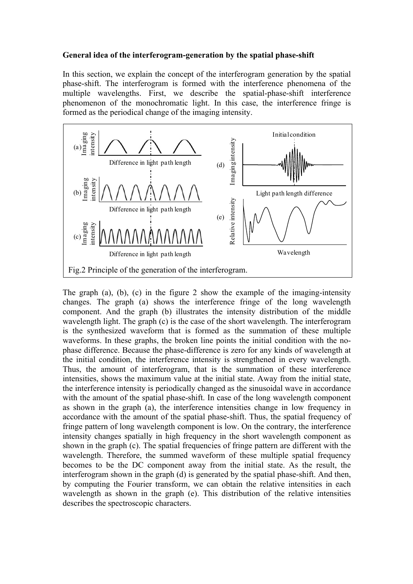### **General idea of the interferogram-generation by the spatial phase-shift**

In this section, we explain the concept of the interferogram generation by the spatial phase-shift. The interferogram is formed with the interference phenomena of the multiple wavelengths. First, we describe the spatial-phase-shift interference phenomenon of the monochromatic light. In this case, the interference fringe is formed as the periodical change of the imaging intensity.



The graph (a), (b), (c) in the figure 2 show the example of the imaging-intensity changes. The graph (a) shows the interference fringe of the long wavelength component. And the graph (b) illustrates the intensity distribution of the middle wavelength light. The graph (c) is the case of the short wavelength. The interferogram is the synthesized waveform that is formed as the summation of these multiple waveforms. In these graphs, the broken line points the initial condition with the nophase difference. Because the phase-difference is zero for any kinds of wavelength at the initial condition, the interference intensity is strengthened in every wavelength. Thus, the amount of interferogram, that is the summation of these interference intensities, shows the maximum value at the initial state. Away from the initial state, the interference intensity is periodically changed as the sinusoidal wave in accordance with the amount of the spatial phase-shift. In case of the long wavelength component as shown in the graph (a), the interference intensities change in low frequency in accordance with the amount of the spatial phase-shift. Thus, the spatial frequency of fringe pattern of long wavelength component is low. On the contrary, the interference intensity changes spatially in high frequency in the short wavelength component as shown in the graph (c). The spatial frequencies of fringe pattern are different with the wavelength. Therefore, the summed waveform of these multiple spatial frequency becomes to be the DC component away from the initial state. As the result, the interferogram shown in the graph (d) is generated by the spatial phase-shift. And then, by computing the Fourier transform, we can obtain the relative intensities in each wavelength as shown in the graph (e). This distribution of the relative intensities describes the spectroscopic characters.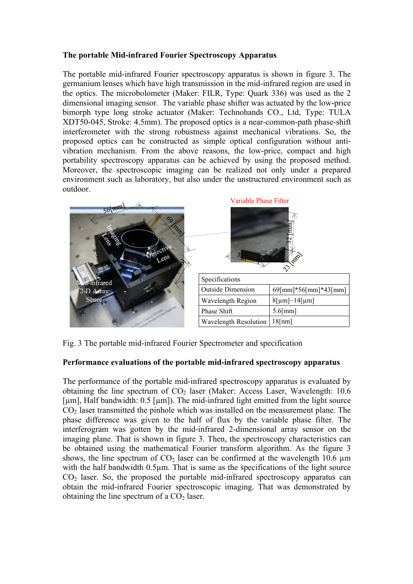# **The portable Mid-infrared Fourier Spectroscopy Apparatus**

The portable mid-infrared Fourier spectroscopy apparatus is shown in figure 3. The germanium lenses which have high transmission in the mid-infrared region are used in the optics. The microbolometer (Maker: FILR, Type: Quark 336) was used as the 2 dimensional imaging sensor. The variable phase shifter was actuated by the low-price bimorph type long stroke actuator (Maker: Technohands CO., Ltd, Type: TULA XDT50-045, Stroke: 4.5mm). The proposed optics is a near-common-path phase-shift interferometer with the strong robustness against mechanical vibrations. So, the proposed optics can be constructed as simple optical configuration without antivibration mechanism. From the above reasons, the low-price, compact and high portability spectroscopy apparatus can be achieved by using the proposed method. Moreover, the spectroscopic imaging can be realized not only under a prepared environment such as laboratory, but also under the unstructured environment such as outdoor.



Fig. 3 The portable mid-infrared Fourier Spectrometer and specification

# **Performance evaluations of the portable mid-infrared spectroscopy apparatus**

The performance of the portable mid-infrared spectroscopy apparatus is evaluated by obtaining the line spectrum of  $CO<sub>2</sub>$  laser (Maker: Access Laser, Wavelength: 10.6)  $[µm]$ , Half bandwidth:  $0.5$   $[µm]$ ). The mid-infrared light emitted from the light source CO<sub>2</sub> laser transmitted the pinhole which was installed on the measurement plane. The phase difference was given to the half of flux by the variable phase filter. The interferogram was gotten by the mid-infrared 2-dimensional array sensor on the imaging plane. That is shown in figure 3. Then, the spectroscopy characteristics can be obtained using the mathematical Fourier transform algorithm. As the figure 3 shows, the line spectrum of  $CO<sub>2</sub>$  laser can be confirmed at the wavelength 10.6  $\mu$ m with the half bandwidth 0.5µm. That is same as the specifications of the light source  $CO<sub>2</sub>$  laser. So, the proposed the portable mid-infrared spectroscopy apparatus can obtain the mid-infrared Fourier spectroscopic imaging. That was demonstrated by obtaining the line spectrum of a  $CO<sub>2</sub>$  laser.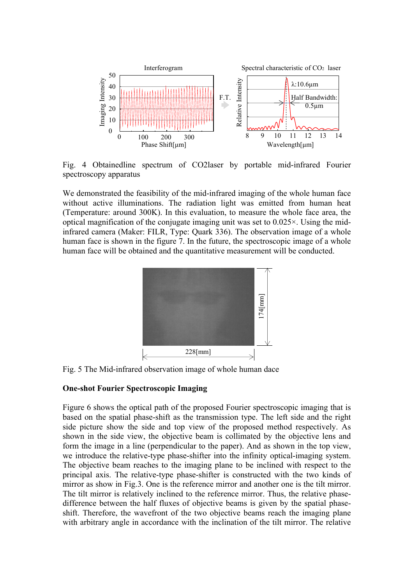

Fig. 4 Obtainedline spectrum of CO2laser by portable mid-infrared Fourier spectroscopy apparatus

We demonstrated the feasibility of the mid-infrared imaging of the whole human face without active illuminations. The radiation light was emitted from human heat (Temperature: around 300K). In this evaluation, to measure the whole face area, the optical magnification of the conjugate imaging unit was set to  $0.025 \times$ . Using the midinfrared camera (Maker: FILR, Type: Quark 336). The observation image of a whole human face is shown in the figure 7. In the future, the spectroscopic image of a whole human face will be obtained and the quantitative measurement will be conducted.





#### **One-shot Fourier Spectroscopic Imaging**

Figure 6 shows the optical path of the proposed Fourier spectroscopic imaging that is based on the spatial phase-shift as the transmission type. The left side and the right side picture show the side and top view of the proposed method respectively. As shown in the side view, the objective beam is collimated by the objective lens and form the image in a line (perpendicular to the paper). And as shown in the top view, we introduce the relative-type phase-shifter into the infinity optical-imaging system. The objective beam reaches to the imaging plane to be inclined with respect to the principal axis. The relative-type phase-shifter is constructed with the two kinds of mirror as show in Fig.3. One is the reference mirror and another one is the tilt mirror. The tilt mirror is relatively inclined to the reference mirror. Thus, the relative phasedifference between the half fluxes of objective beams is given by the spatial phaseshift. Therefore, the wavefront of the two objective beams reach the imaging plane with arbitrary angle in accordance with the inclination of the tilt mirror. The relative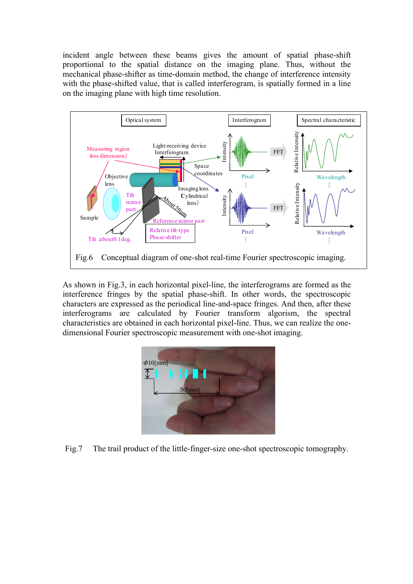incident angle between these beams gives the amount of spatial phase-shift proportional to the spatial distance on the imaging plane. Thus, without the mechanical phase-shifter as time-domain method, the change of interference intensity with the phase-shifted value, that is called interferogram, is spatially formed in a line on the imaging plane with high time resolution.



As shown in Fig.3, in each horizontal pixel-line, the interferograms are formed as the interference fringes by the spatial phase-shift. In other words, the spectroscopic characters are expressed as the periodical line-and-space fringes. And then, after these interferograms are calculated by Fourier transform algorism, the spectral characteristics are obtained in each horizontal pixel-line. Thus, we can realize the onedimensional Fourier spectroscopic measurement with one-shot imaging.



Fig.7 The trail product of the little-finger-size one-shot spectroscopic tomography.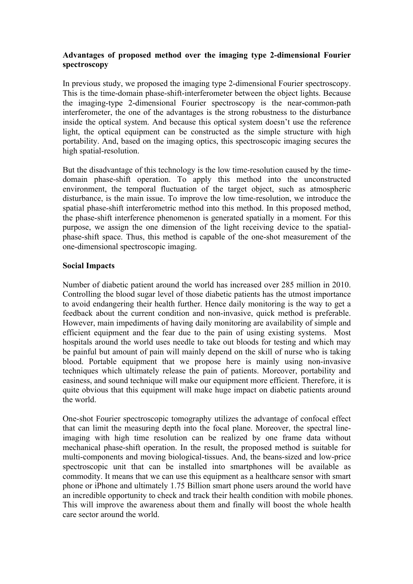# **Advantages of proposed method over the imaging type 2-dimensional Fourier spectroscopy**

In previous study, we proposed the imaging type 2-dimensional Fourier spectroscopy. This is the time-domain phase-shift-interferometer between the object lights. Because the imaging-type 2-dimensional Fourier spectroscopy is the near-common-path interferometer, the one of the advantages is the strong robustness to the disturbance inside the optical system. And because this optical system doesn't use the reference light, the optical equipment can be constructed as the simple structure with high portability. And, based on the imaging optics, this spectroscopic imaging secures the high spatial-resolution.

But the disadvantage of this technology is the low time-resolution caused by the timedomain phase-shift operation. To apply this method into the unconstructed environment, the temporal fluctuation of the target object, such as atmospheric disturbance, is the main issue. To improve the low time-resolution, we introduce the spatial phase-shift interferometric method into this method. In this proposed method, the phase-shift interference phenomenon is generated spatially in a moment. For this purpose, we assign the one dimension of the light receiving device to the spatialphase-shift space. Thus, this method is capable of the one-shot measurement of the one-dimensional spectroscopic imaging.

# **Social Impacts**

Number of diabetic patient around the world has increased over 285 million in 2010. Controlling the blood sugar level of those diabetic patients has the utmost importance to avoid endangering their health further. Hence daily monitoring is the way to get a feedback about the current condition and non-invasive, quick method is preferable. However, main impediments of having daily monitoring are availability of simple and efficient equipment and the fear due to the pain of using existing systems. Most hospitals around the world uses needle to take out bloods for testing and which may be painful but amount of pain will mainly depend on the skill of nurse who is taking blood. Portable equipment that we propose here is mainly using non-invasive techniques which ultimately release the pain of patients. Moreover, portability and easiness, and sound technique will make our equipment more efficient. Therefore, it is quite obvious that this equipment will make huge impact on diabetic patients around the world.

One-shot Fourier spectroscopic tomography utilizes the advantage of confocal effect that can limit the measuring depth into the focal plane. Moreover, the spectral lineimaging with high time resolution can be realized by one frame data without mechanical phase-shift operation. In the result, the proposed method is suitable for multi-components and moving biological-tissues. And, the beans-sized and low-price spectroscopic unit that can be installed into smartphones will be available as commodity. It means that we can use this equipment as a healthcare sensor with smart phone or iPhone and ultimately 1.75 Billion smart phone users around the world have an incredible opportunity to check and track their health condition with mobile phones. This will improve the awareness about them and finally will boost the whole health care sector around the world.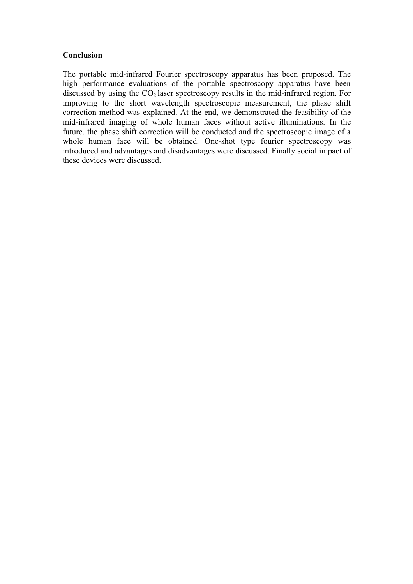### **Conclusion**

The portable mid-infrared Fourier spectroscopy apparatus has been proposed. The high performance evaluations of the portable spectroscopy apparatus have been discussed by using the  $CO<sub>2</sub>$  laser spectroscopy results in the mid-infrared region. For improving to the short wavelength spectroscopic measurement, the phase shift correction method was explained. At the end, we demonstrated the feasibility of the mid-infrared imaging of whole human faces without active illuminations. In the future, the phase shift correction will be conducted and the spectroscopic image of a whole human face will be obtained. One-shot type fourier spectroscopy was introduced and advantages and disadvantages were discussed. Finally social impact of these devices were discussed.